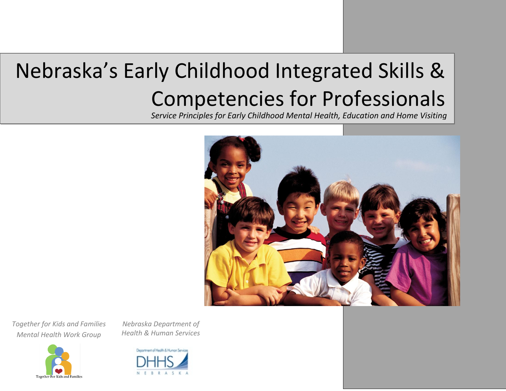# Nebraska's Early Childhood Integrated Skills & Competencies for Professionals

*Service Principles for Early Childhood Mental Health, Education and Home Visiting*



*Together for Kids and Families Mental Health Work Group*



*Nebraska Department of Health & Human Services*

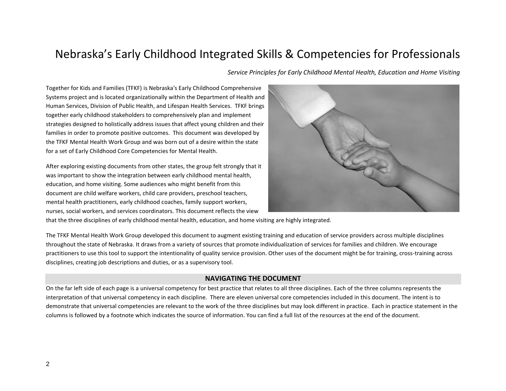# Nebraska's Early Childhood Integrated Skills & Competencies for Professionals

*Service Principles for Early Childhood Mental Health, Education and Home Visiting*

Together for Kids and Families (TFKF) is Nebraska's Early Childhood Comprehensive Systems project and is located organizationally within the Department of Health and Human Services, Division of Public Health, and Lifespan Health Services. TFKF brings together early childhood stakeholders to comprehensively plan and implement strategies designed to holistically address issues that affect young children and their families in order to promote positive outcomes. This document was developed by the TFKF Mental Health Work Group and was born out of a desire within the state for a set of Early Childhood Core Competencies for Mental Health.

After exploring existing documents from other states, the group felt strongly that it was important to show the integration between early childhood mental health, education, and home visiting. Some audiences who might benefit from this document are child welfare workers, child care providers, preschool teachers, mental health practitioners, early childhood coaches, family support workers, nurses, social workers, and services coordinators. This document reflects the view



that the three disciplines of early childhood mental health, education, and home visiting are highly integrated.

The TFKF Mental Health Work Group developed this document to augment existing training and education of service providers across multiple disciplines throughout the state of Nebraska. It draws from a variety of sources that promote individualization of services for families and children. We encourage practitioners to use this tool to support the intentionality of quality service provision. Other uses of the document might be for training, cross-training across disciplines, creating job descriptions and duties, or as a supervisory tool.

#### **NAVIGATING THE DOCUMENT**

On the far left side of each page is a universal competency for best practice that relates to all three disciplines. Each of the three columns represents the interpretation of that universal competency in each discipline. There are eleven universal core competencies included in this document. The intent is to demonstrate that universal competencies are relevant to the work of the three disciplines but may look different in practice. Each in practice statement in the columns is followed by a footnote which indicates the source of information. You can find a full list of the resources at the end of the document.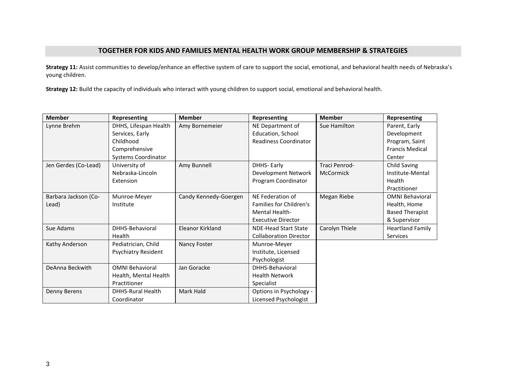## **TOGETHER FOR KIDS AND FAMILIES MENTAL HEALTH WORK GROUP MEMBERSHIP & STRATEGIES**

**Strategy 11:** Assist communities to develop/enhance an effective system of care to support the social, emotional, and behavioral health needs of Nebraska's young children.

**Strategy 12:** Build the capacity of individuals who interact with young children to support social, emotional and behavioral health.

| <b>Member</b>        | Representing               | <b>Member</b>         | Representing                   | <b>Member</b>  | Representing            |
|----------------------|----------------------------|-----------------------|--------------------------------|----------------|-------------------------|
| Lynne Brehm          | DHHS, Lifespan Health      | Amy Bornemeier        | NE Department of               | Sue Hamilton   | Parent, Early           |
|                      | Services, Early            |                       | Education, School              |                | Development             |
|                      | Childhood                  |                       | Readiness Coordinator          |                | Program, Saint          |
|                      | Comprehensive              |                       |                                |                | <b>Francis Medical</b>  |
|                      | <b>Systems Coordinator</b> |                       |                                |                | Center                  |
| Jen Gerdes (Co-Lead) | University of              | Amy Bunnell           | <b>DHHS-Early</b>              | Traci Penrod-  | Child Saving            |
|                      | Nebraska-Lincoln           |                       | Development Network            | McCormick      | Institute-Mental        |
|                      | Extension                  |                       | Program Coordinator            |                | Health                  |
|                      |                            |                       |                                |                | Practitioner            |
| Barbara Jackson (Co- | Munroe-Meyer               | Candy Kennedy-Goergen | NE Federation of               | Megan Riebe    | <b>OMNI Behavioral</b>  |
| Lead)                | Institute                  |                       | <b>Families for Children's</b> |                | Health, Home            |
|                      |                            |                       | <b>Mental Health-</b>          |                | <b>Based Therapist</b>  |
|                      |                            |                       | <b>Executive Director</b>      |                | & Supervisor            |
| Sue Adams            | DHHS-Behavioral            | Eleanor Kirkland      | <b>NDE-Head Start State</b>    | Carolyn Thiele | <b>Heartland Family</b> |
|                      | Health                     |                       | <b>Collaboration Director</b>  |                | <b>Services</b>         |
| Kathy Anderson       | Pediatrician, Child        | Nancy Foster          | Munroe-Meyer                   |                |                         |
|                      | Psychiatry Resident        |                       | Institute, Licensed            |                |                         |
|                      |                            |                       | Psychologist                   |                |                         |
| DeAnna Beckwith      | <b>OMNI Behavioral</b>     | Jan Goracke           | DHHS-Behavioral                |                |                         |
|                      | Health, Mental Health      |                       | <b>Health Network</b>          |                |                         |
|                      | Practitioner               |                       | Specialist                     |                |                         |
| Denny Berens         | <b>DHHS-Rural Health</b>   | Mark Hald             | Options in Psychology -        |                |                         |
|                      | Coordinator                |                       | Licensed Psychologist          |                |                         |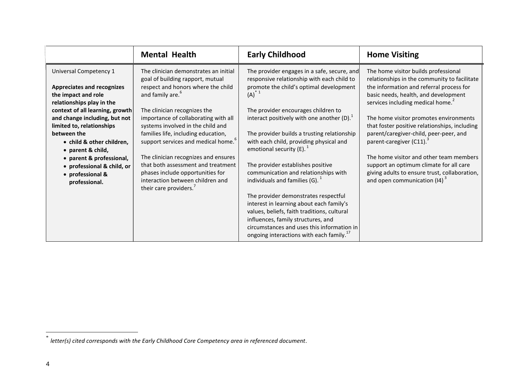|                                                                                                                                                    | <b>Mental Health</b>                                                                                                                                                            | <b>Early Childhood</b>                                                                                                                                                                                                                                                      | <b>Home Visiting</b>                                                                                                                                                                                         |
|----------------------------------------------------------------------------------------------------------------------------------------------------|---------------------------------------------------------------------------------------------------------------------------------------------------------------------------------|-----------------------------------------------------------------------------------------------------------------------------------------------------------------------------------------------------------------------------------------------------------------------------|--------------------------------------------------------------------------------------------------------------------------------------------------------------------------------------------------------------|
| Universal Competency 1<br><b>Appreciates and recognizes</b><br>the impact and role<br>relationships play in the<br>context of all learning, growth | The clinician demonstrates an initial<br>goal of building rapport, mutual<br>respect and honors where the child<br>and family are. <sup>6</sup><br>The clinician recognizes the | The provider engages in a safe, secure, and<br>responsive relationship with each child to<br>promote the child's optimal development<br>$(A)^{1}$<br>The provider encourages children to                                                                                    | The home visitor builds professional<br>relationships in the community to facilitate<br>the information and referral process for<br>basic needs, health, and development<br>services including medical home. |
| and change including, but not<br>limited to, relationships<br>between the<br>• child & other children,<br>• parent & child,                        | importance of collaborating with all<br>systems involved in the child and<br>families life, including education,<br>support services and medical home.                          | interact positively with one another $(D)$ .<br>The provider builds a trusting relationship<br>with each child, providing physical and<br>emotional security (E). $1$                                                                                                       | The home visitor promotes environments<br>that foster positive relationships, including<br>parent/caregiver-child, peer-peer, and<br>parent-caregiver (C11). <sup>3</sup>                                    |
| • parent & professional,<br>• professional & child, or<br>• professional &<br>professional.                                                        | The clinician recognizes and ensures<br>that both assessment and treatment<br>phases include opportunities for<br>interaction between children and<br>their care providers.     | The provider establishes positive<br>communication and relationships with<br>individuals and families $(G)$ .                                                                                                                                                               | The home visitor and other team members<br>support an optimum climate for all care<br>giving adults to ensure trust, collaboration,<br>and open communication $(14)^3$                                       |
|                                                                                                                                                    |                                                                                                                                                                                 | The provider demonstrates respectful<br>interest in learning about each family's<br>values, beliefs, faith traditions, cultural<br>influences, family structures, and<br>circumstances and uses this information in<br>ongoing interactions with each family. <sup>17</sup> |                                                                                                                                                                                                              |

 \* *letter(s) cited corresponds with the Early Childhood Core Competency area in referenced document*.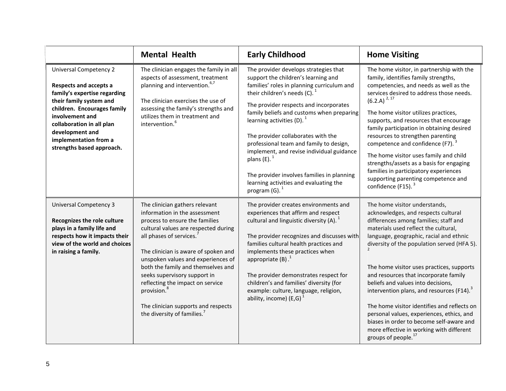|                                                                                                                                                                                                                                                                            | <b>Mental Health</b>                                                                                                                                                                                                                                                                                                                                                                                                                                                      | <b>Early Childhood</b>                                                                                                                                                                                                                                                                                                                                                                                                                                                                                                                                                 | <b>Home Visiting</b>                                                                                                                                                                                                                                                                                                                                                                                                                                                                                                                                                                                                                                        |
|----------------------------------------------------------------------------------------------------------------------------------------------------------------------------------------------------------------------------------------------------------------------------|---------------------------------------------------------------------------------------------------------------------------------------------------------------------------------------------------------------------------------------------------------------------------------------------------------------------------------------------------------------------------------------------------------------------------------------------------------------------------|------------------------------------------------------------------------------------------------------------------------------------------------------------------------------------------------------------------------------------------------------------------------------------------------------------------------------------------------------------------------------------------------------------------------------------------------------------------------------------------------------------------------------------------------------------------------|-------------------------------------------------------------------------------------------------------------------------------------------------------------------------------------------------------------------------------------------------------------------------------------------------------------------------------------------------------------------------------------------------------------------------------------------------------------------------------------------------------------------------------------------------------------------------------------------------------------------------------------------------------------|
| <b>Universal Competency 2</b><br>Respects and accepts a<br>family's expertise regarding<br>their family system and<br>children. Encourages family<br>involvement and<br>collaboration in all plan<br>development and<br>implementation from a<br>strengths based approach. | The clinician engages the family in all<br>aspects of assessment, treatment<br>planning and intervention. <sup>6,7</sup><br>The clinician exercises the use of<br>assessing the family's strengths and<br>utilizes them in treatment and<br>intervention. <sup>6</sup>                                                                                                                                                                                                    | The provider develops strategies that<br>support the children's learning and<br>families' roles in planning curriculum and<br>their children's needs $(C)$ . <sup>1</sup><br>The provider respects and incorporates<br>family beliefs and customs when preparing<br>learning activities $(D)$ .<br>The provider collaborates with the<br>professional team and family to design,<br>implement, and revise individual guidance<br>plans $(E)$ .<br>The provider involves families in planning<br>learning activities and evaluating the<br>program $(G)$ . <sup>1</sup> | The home visitor, in partnership with the<br>family, identifies family strengths,<br>competencies, and needs as well as the<br>services desired to address those needs.<br>$(6.2.A)^{2, 17}$<br>The home visitor utilizes practices,<br>supports, and resources that encourage<br>family participation in obtaining desired<br>resources to strengthen parenting<br>competence and confidence (F7). <sup>3</sup><br>The home visitor uses family and child<br>strengths/assets as a basis for engaging<br>families in participatory experiences<br>supporting parenting competence and<br>confidence (F15). <sup>3</sup>                                    |
| <b>Universal Competency 3</b><br>Recognizes the role culture<br>plays in a family life and<br>respects how it impacts their<br>view of the world and choices<br>in raising a family.                                                                                       | The clinician gathers relevant<br>information in the assessment<br>process to ensure the families<br>cultural values are respected during<br>all phases of services.<br>The clinician is aware of spoken and<br>unspoken values and experiences of<br>both the family and themselves and<br>seeks supervisory support in<br>reflecting the impact on service<br>provision. <sup>8</sup><br>The clinician supports and respects<br>the diversity of families. <sup>7</sup> | The provider creates environments and<br>experiences that affirm and respect<br>cultural and linguistic diversity (A). $1$<br>The provider recognizes and discusses with<br>families cultural health practices and<br>implements these practices when<br>appropriate $(B)$ .<br>The provider demonstrates respect for<br>children's and families' diversity (for<br>example: culture, language, religion,<br>ability, income) (E,G) $^1$                                                                                                                               | The home visitor understands,<br>acknowledges, and respects cultural<br>differences among families; staff and<br>materials used reflect the cultural,<br>language, geographic, racial and ethnic<br>diversity of the population served (HFA 5).<br>The home visitor uses practices, supports<br>and resources that incorporate family<br>beliefs and values into decisions,<br>intervention plans, and resources (F14). <sup>3</sup><br>The home visitor identifies and reflects on<br>personal values, experiences, ethics, and<br>biases in order to become self-aware and<br>more effective in working with different<br>groups of people. <sup>17</sup> |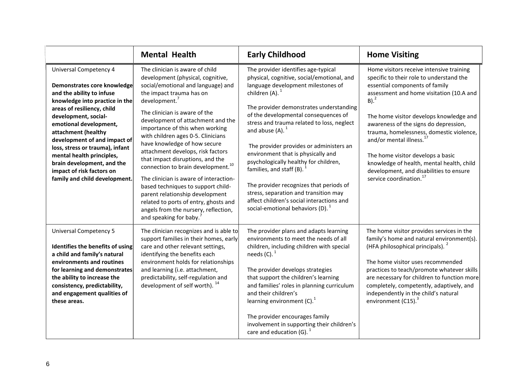|                                                                                                                                                                                                                                                                                                                                                                                                                                | <b>Mental Health</b>                                                                                                                                                                                                                                                                                                                                                                                                                                                                                                                                                                                                                                                                                               | <b>Early Childhood</b>                                                                                                                                                                                                                                                                                                                                                                                                                                                                                                                                                                                                                       | <b>Home Visiting</b>                                                                                                                                                                                                                                                                                                                                                                                                                                                                                                                  |
|--------------------------------------------------------------------------------------------------------------------------------------------------------------------------------------------------------------------------------------------------------------------------------------------------------------------------------------------------------------------------------------------------------------------------------|--------------------------------------------------------------------------------------------------------------------------------------------------------------------------------------------------------------------------------------------------------------------------------------------------------------------------------------------------------------------------------------------------------------------------------------------------------------------------------------------------------------------------------------------------------------------------------------------------------------------------------------------------------------------------------------------------------------------|----------------------------------------------------------------------------------------------------------------------------------------------------------------------------------------------------------------------------------------------------------------------------------------------------------------------------------------------------------------------------------------------------------------------------------------------------------------------------------------------------------------------------------------------------------------------------------------------------------------------------------------------|---------------------------------------------------------------------------------------------------------------------------------------------------------------------------------------------------------------------------------------------------------------------------------------------------------------------------------------------------------------------------------------------------------------------------------------------------------------------------------------------------------------------------------------|
| <b>Universal Competency 4</b><br>Demonstrates core knowledge<br>and the ability to infuse<br>knowledge into practice in the<br>areas of resiliency, child<br>development, social-<br>emotional development,<br>attachment (healthy<br>development of and impact of<br>loss, stress or trauma), infant<br>mental health principles,<br>brain development, and the<br>impact of risk factors on<br>family and child development. | The clinician is aware of child<br>development (physical, cognitive,<br>social/emotional and language) and<br>the impact trauma has on<br>$d$ evelopment. $7$<br>The clinician is aware of the<br>development of attachment and the<br>importance of this when working<br>with children ages 0-5. Clinicians<br>have knowledge of how secure<br>attachment develops, risk factors<br>that impact disruptions, and the<br>connection to brain development. <sup>10</sup><br>The clinician is aware of interaction-<br>based techniques to support child-<br>parent relationship development<br>related to ports of entry, ghosts and<br>angels from the nursery, reflection,<br>and speaking for baby. <sup>7</sup> | The provider identifies age-typical<br>physical, cognitive, social/emotional, and<br>language development milestones of<br>children $(A)$ .<br>The provider demonstrates understanding<br>of the developmental consequences of<br>stress and trauma related to loss, neglect<br>and abuse $(A)$ . <sup>1</sup><br>The provider provides or administers an<br>environment that is physically and<br>psychologically healthy for children,<br>families, and staff (B).<br>The provider recognizes that periods of<br>stress, separation and transition may<br>affect children's social interactions and<br>social-emotional behaviors (D). $1$ | Home visitors receive intensive training<br>specific to their role to understand the<br>essential components of family<br>assessment and home visitation (10.A and<br>$B)$ . <sup>2</sup><br>The home visitor develops knowledge and<br>awareness of the signs do depression,<br>trauma, homelessness, domestic violence,<br>and/or mental illness. <sup>17</sup><br>The home visitor develops a basic<br>knowledge of health, mental health, child<br>development, and disabilities to ensure<br>service coordination. <sup>17</sup> |
| <b>Universal Competency 5</b><br>Identifies the benefits of using<br>a child and family's natural<br>environments and routines<br>for learning and demonstrates<br>the ability to increase the<br>consistency, predictability,<br>and engagement qualities of<br>these areas.                                                                                                                                                  | The clinician recognizes and is able to<br>support families in their homes, early<br>care and other relevant settings,<br>identifying the benefits each<br>environment holds for relationships<br>and learning (i.e. attachment,<br>predictability, self-regulation and<br>development of self worth). <sup>14</sup>                                                                                                                                                                                                                                                                                                                                                                                               | The provider plans and adapts learning<br>environments to meet the needs of all<br>children, including children with special<br>needs $(C)$ . <sup>1</sup><br>The provider develops strategies<br>that support the children's learning<br>and families' roles in planning curriculum<br>and their children's<br>learning environment $(C)$ .<br>The provider encourages family<br>involvement in supporting their children's<br>care and education (G). $1$                                                                                                                                                                                  | The home visitor provides services in the<br>family's home and natural environment(s).<br>(HFA philosophical principals). <sup>2</sup><br>The home visitor uses recommended<br>practices to teach/promote whatever skills<br>are necessary for children to function more<br>completely, competently, adaptively, and<br>independently in the child's natural<br>environment (C15). <sup>3</sup>                                                                                                                                       |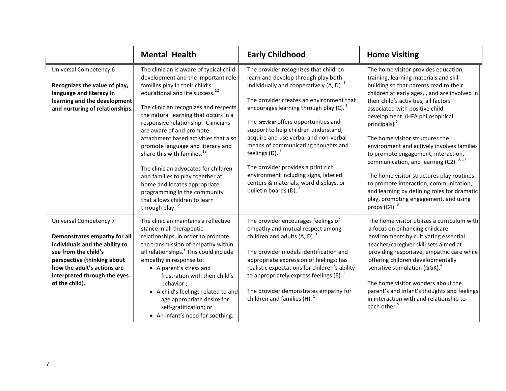|                                                                                                                                                                                                                                         | <b>Mental Health</b>                                                                                                                                                                                                                                                                                                                                                                                                                                                                                                                                                                                                                                     | <b>Early Childhood</b>                                                                                                                                                                                                                                                                                                                                                                                                                                                                                                                                                | <b>Home Visiting</b>                                                                                                                                                                                                                                                                                                                                                                                                                                                                                                                                                                                                                                                                                           |
|-----------------------------------------------------------------------------------------------------------------------------------------------------------------------------------------------------------------------------------------|----------------------------------------------------------------------------------------------------------------------------------------------------------------------------------------------------------------------------------------------------------------------------------------------------------------------------------------------------------------------------------------------------------------------------------------------------------------------------------------------------------------------------------------------------------------------------------------------------------------------------------------------------------|-----------------------------------------------------------------------------------------------------------------------------------------------------------------------------------------------------------------------------------------------------------------------------------------------------------------------------------------------------------------------------------------------------------------------------------------------------------------------------------------------------------------------------------------------------------------------|----------------------------------------------------------------------------------------------------------------------------------------------------------------------------------------------------------------------------------------------------------------------------------------------------------------------------------------------------------------------------------------------------------------------------------------------------------------------------------------------------------------------------------------------------------------------------------------------------------------------------------------------------------------------------------------------------------------|
| Universal Competency 6<br>Recognizes the value of play,<br>language and literacy in<br>learning and the development<br>and nurturing of relationships.                                                                                  | The clinician is aware of typical child<br>development and the important role<br>families play in their child's<br>educational and life success. <sup>12</sup><br>The clinician recognizes and respects<br>the natural learning that occurs in a<br>responsive relationship. Clinicians<br>are aware of and promote<br>attachment based activities that also<br>promote language and literacy and<br>share this with families. <sup>13</sup><br>The clinician advocates for children<br>and families to play together at<br>home and locates appropriate<br>programming in the community<br>that allows children to learn<br>through play. <sup>12</sup> | The provider recognizes that children<br>learn and develop through play both<br>individually and cooperatively (A, D). $1$<br>The provider creates an environment that<br>encourages learning through play (C). $1$<br>The provider offers opportunities and<br>support to help children understand,<br>acquire and use verbal and non-verbal<br>means of communicating thoughts and<br>feelings $(D)$ . <sup>1</sup><br>The provider provides a print rich<br>environment including signs, labeled<br>centers & materials, word displays, or<br>bulletin boards (D). | The home visitor provides education,<br>training, learning materials and skill<br>building so that parents read to their<br>children at early ages, , and are involved in<br>their child's activities; all factors<br>associated with positive child<br>development. (HFA philosophical<br>principals) <sup>2</sup><br>The home visitor structures the<br>environment and actively involves families<br>to promote engagement, interaction,<br>communication, and learning (C2). <sup>3,17</sup><br>The home visitor structures play routines<br>to promote interaction, communication,<br>and learning by defining roles for dramatic<br>play, prompting engagement, and using<br>props $(C4)$ . <sup>3</sup> |
| <b>Universal Competency 7</b><br>Demonstrates empathy for all<br>individuals and the ability to<br>see from the child's<br>perspective (thinking about<br>how the adult's actions are<br>interpreted through the eyes<br>of the child). | The clinician maintains a reflective<br>stance in all therapeutic<br>relationships, in order to promote<br>the transmission of empathy within<br>all relationships. <sup>8</sup> This could include<br>empathy in response to:<br>• A parent's stress and<br>frustration with their child's<br>behavior;<br>• A child's feelings related to and<br>age appropriate desire for<br>self-gratification; or<br>• An infant's need for soothing.                                                                                                                                                                                                              | The provider encourages feelings of<br>empathy and mutual respect among<br>children and adults $(A, D)$ .<br>The provider models identification and<br>appropriate expression of feelings; has<br>realistic expectations for children's ability<br>to appropriately express feelings (E).<br>The provider demonstrates empathy for<br>children and families $(H)$ .                                                                                                                                                                                                   | The home visitor utilizes a curriculum with<br>a focus on enhancing childcare<br>environments by cultivating essential<br>teacher/caregiver skill sets aimed at<br>providing responsive, empathic care while<br>offering children developmentally<br>sensitive stimulation (GGK). <sup>4</sup><br>The home visitor wonders about the<br>parent's and infant's thoughts and feelings<br>in interaction with and relationship to<br>each other. <sup>5</sup>                                                                                                                                                                                                                                                     |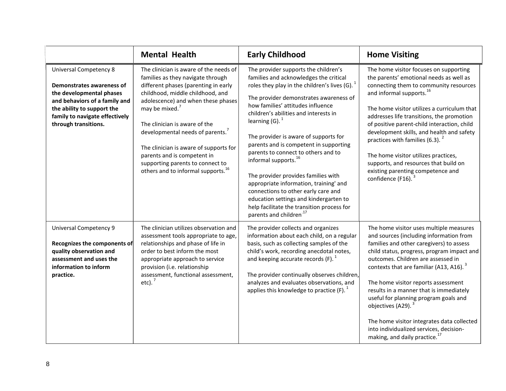|                                                                                                                                                                                                                 | <b>Mental Health</b>                                                                                                                                                                                                                                                                                                                                                                                                                                                        | <b>Early Childhood</b>                                                                                                                                                                                                                                                                                                                                                                                                                                                                                                                                                                                                                                                                                           | <b>Home Visiting</b>                                                                                                                                                                                                                                                                                                                                                                                                                                                                                                                                                         |
|-----------------------------------------------------------------------------------------------------------------------------------------------------------------------------------------------------------------|-----------------------------------------------------------------------------------------------------------------------------------------------------------------------------------------------------------------------------------------------------------------------------------------------------------------------------------------------------------------------------------------------------------------------------------------------------------------------------|------------------------------------------------------------------------------------------------------------------------------------------------------------------------------------------------------------------------------------------------------------------------------------------------------------------------------------------------------------------------------------------------------------------------------------------------------------------------------------------------------------------------------------------------------------------------------------------------------------------------------------------------------------------------------------------------------------------|------------------------------------------------------------------------------------------------------------------------------------------------------------------------------------------------------------------------------------------------------------------------------------------------------------------------------------------------------------------------------------------------------------------------------------------------------------------------------------------------------------------------------------------------------------------------------|
| <b>Universal Competency 8</b><br>Demonstrates awareness of<br>the developmental phases<br>and behaviors of a family and<br>the ability to support the<br>family to navigate effectively<br>through transitions. | The clinician is aware of the needs of<br>families as they navigate through<br>different phases (parenting in early<br>childhood, middle childhood, and<br>adolescence) and when these phases<br>may be mixed. <sup>7</sup><br>The clinician is aware of the<br>developmental needs of parents. <sup>7</sup><br>The clinician is aware of supports for<br>parents and is competent in<br>supporting parents to connect to<br>others and to informal supports. <sup>16</sup> | The provider supports the children's<br>families and acknowledges the critical<br>roles they play in the children's lives (G). $1$<br>The provider demonstrates awareness of<br>how families' attitudes influence<br>children's abilities and interests in<br>learning $(G)$ . <sup>1</sup><br>The provider is aware of supports for<br>parents and is competent in supporting<br>parents to connect to others and to<br>informal supports. <sup>16</sup><br>The provider provides families with<br>appropriate information, training' and<br>connections to other early care and<br>education settings and kindergarten to<br>help facilitate the transition process for<br>parents and children <sup>-17</sup> | The home visitor focuses on supporting<br>the parents' emotional needs as well as<br>connecting them to community resources<br>and informal supports. <sup>16</sup><br>The home visitor utilizes a curriculum that<br>addresses life transitions, the promotion<br>of positive parent-child interaction, child<br>development skills, and health and safety<br>practices with families (6.3). <sup>2</sup><br>The home visitor utilizes practices,<br>supports, and resources that build on<br>existing parenting competence and<br>confidence (F16). <sup>3</sup>           |
| <b>Universal Competency 9</b><br>Recognizes the components of<br>quality observation and<br>assessment and uses the<br>information to inform<br>practice.                                                       | The clinician utilizes observation and<br>assessment tools appropriate to age,<br>relationships and phase of life in<br>order to best inform the most<br>appropriate approach to service<br>provision (i.e. relationship<br>assessment, functional assessment,<br>etc). $7$                                                                                                                                                                                                 | The provider collects and organizes<br>information about each child, on a regular<br>basis, such as collecting samples of the<br>child's work, recording anecdotal notes,<br>and keeping accurate records $(F)$ .<br>The provider continually observes children,<br>analyzes and evaluates observations, and<br>applies this knowledge to practice $(F)$ .                                                                                                                                                                                                                                                                                                                                                       | The home visitor uses multiple measures<br>and sources (including information from<br>families and other caregivers) to assess<br>child status, progress, program impact and<br>outcomes. Children are assessed in<br>contexts that are familiar (A13, A16). <sup>3</sup><br>The home visitor reports assessment<br>results in a manner that is immediately<br>useful for planning program goals and<br>objectives (A29). <sup>3</sup><br>The home visitor integrates data collected<br>into individualized services, decision-<br>making, and daily practice. <sup>17</sup> |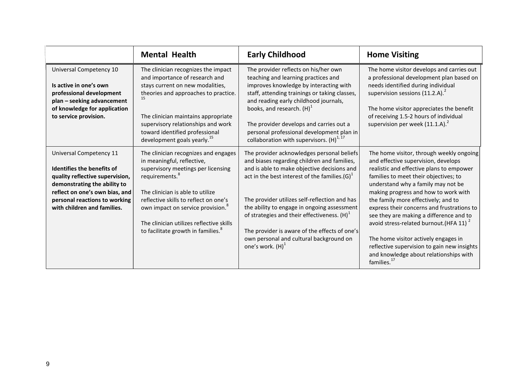|                                                                                                                                                                                                                            | <b>Mental Health</b>                                                                                                                                                                                                                                                                                                                                               | <b>Early Childhood</b>                                                                                                                                                                                                                                                                                                                                                                                                                                             | <b>Home Visiting</b>                                                                                                                                                                                                                                                                                                                                                                                                                                                                                                                                                                                  |
|----------------------------------------------------------------------------------------------------------------------------------------------------------------------------------------------------------------------------|--------------------------------------------------------------------------------------------------------------------------------------------------------------------------------------------------------------------------------------------------------------------------------------------------------------------------------------------------------------------|--------------------------------------------------------------------------------------------------------------------------------------------------------------------------------------------------------------------------------------------------------------------------------------------------------------------------------------------------------------------------------------------------------------------------------------------------------------------|-------------------------------------------------------------------------------------------------------------------------------------------------------------------------------------------------------------------------------------------------------------------------------------------------------------------------------------------------------------------------------------------------------------------------------------------------------------------------------------------------------------------------------------------------------------------------------------------------------|
| Universal Competency 10<br>Is active in one's own<br>professional development<br>plan - seeking advancement<br>of knowledge for application<br>to service provision.                                                       | The clinician recognizes the impact<br>and importance of research and<br>stays current on new modalities,<br>theories and approaches to practice.<br>15<br>The clinician maintains appropriate<br>supervisory relationships and work<br>toward identified professional<br>development goals yearly. <sup>15</sup>                                                  | The provider reflects on his/her own<br>teaching and learning practices and<br>improves knowledge by interacting with<br>staff, attending trainings or taking classes,<br>and reading early childhood journals,<br>books, and research. $(H)^{1}$<br>The provider develops and carries out a<br>personal professional development plan in<br>collaboration with supervisors. $(H)^{1, 17}$                                                                         | The home visitor develops and carries out<br>a professional development plan based on<br>needs identified during individual<br>supervision sessions (11.2.A).<br>The home visitor appreciates the benefit<br>of receiving 1.5-2 hours of individual<br>supervision per week $(11.1.A)^2$                                                                                                                                                                                                                                                                                                              |
| Universal Competency 11<br>Identifies the benefits of<br>quality reflective supervision,<br>demonstrating the ability to<br>reflect on one's own bias, and<br>personal reactions to working<br>with children and families. | The clinician recognizes and engages<br>in meaningful, reflective,<br>supervisory meetings per licensing<br>requirements. <sup>8</sup><br>The clinician is able to utilize<br>reflective skills to reflect on one's<br>own impact on service provision. <sup>8</sup><br>The clinician utilizes reflective skills<br>to facilitate growth in families. <sup>8</sup> | The provider acknowledges personal beliefs<br>and biases regarding children and families,<br>and is able to make objective decisions and<br>act in the best interest of the families. $(G)^1$<br>The provider utilizes self-reflection and has<br>the ability to engage in ongoing assessment<br>of strategies and their effectiveness. $(H)^1$<br>The provider is aware of the effects of one's<br>own personal and cultural background on<br>one's work. $(H)^1$ | The home visitor, through weekly ongoing<br>and effective supervision, develops<br>realistic and effective plans to empower<br>families to meet their objectives; to<br>understand why a family may not be<br>making progress and how to work with<br>the family more effectively; and to<br>express their concerns and frustrations to<br>see they are making a difference and to<br>avoid stress-related burnout. (HFA 11) <sup>2</sup><br>The home visitor actively engages in<br>reflective supervision to gain new insights<br>and knowledge about relationships with<br>families. <sup>17</sup> |